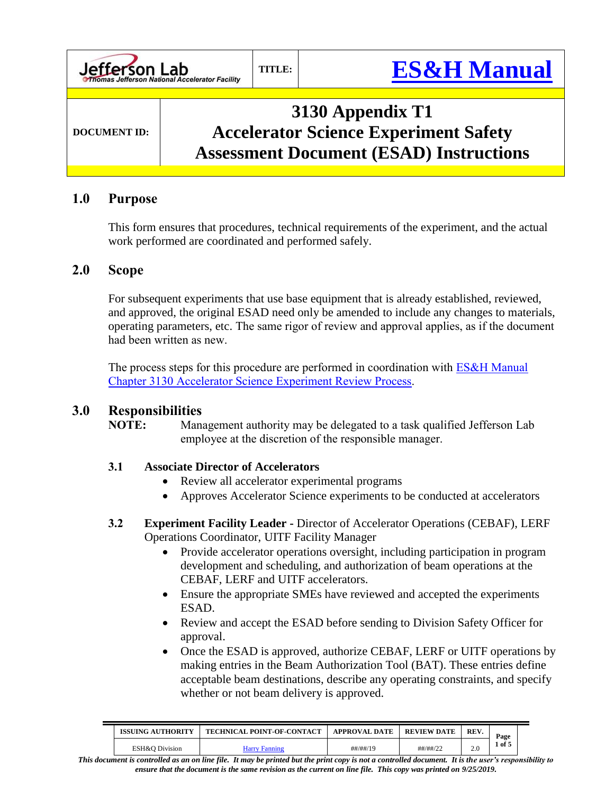

#### **1.0 Purpose**

This form ensures that procedures, technical requirements of the experiment, and the actual work performed are coordinated and performed safely.

#### **2.0 Scope**

For subsequent experiments that use base equipment that is already established, reviewed, and approved, the original ESAD need only be amended to include any changes to materials, operating parameters, etc. The same rigor of review and approval applies, as if the document had been written as new.

The process steps for this procedure are performed in coordination with **ES&H** Manual [Chapter 3130 Accelerator Science](http://www.jlab.org/ehs/ehsmanual/3130.htm) Experiment Review Process.

#### **3.0 Responsibilities**

**NOTE:** Management authority may be delegated to a task qualified Jefferson Lab employee at the discretion of the responsible manager.

#### **3.1 Associate Director of Accelerators**

- Review all accelerator experimental programs
- Approves Accelerator Science experiments to be conducted at accelerators
- **3.2 Experiment Facility Leader -** Director of Accelerator Operations (CEBAF), LERF Operations Coordinator, UITF Facility Manager
	- Provide accelerator operations oversight, including participation in program development and scheduling, and authorization of beam operations at the CEBAF, LERF and UITF accelerators.
	- Ensure the appropriate SMEs have reviewed and accepted the experiments ESAD.
	- Review and accept the ESAD before sending to Division Safety Officer for approval.
	- Once the ESAD is approved, authorize CEBAF, LERF or UITF operations by making entries in the Beam Authorization Tool (BAT). These entries define acceptable beam destinations, describe any operating constraints, and specify whether or not beam delivery is approved.

| ISSUING AUTHORITY<br><b>TECHNICAL POINT-OF-CONTACT</b> |               | <b>APPROVAL DATE</b> | <b>REVIEW DATE</b>     | <b>REV</b> | Page   |
|--------------------------------------------------------|---------------|----------------------|------------------------|------------|--------|
| ESH&O Division                                         | Harry Fanning | ##/##/19             | $\#$ # $\#$ / $\#$ /22 | 2.0        | of $5$ |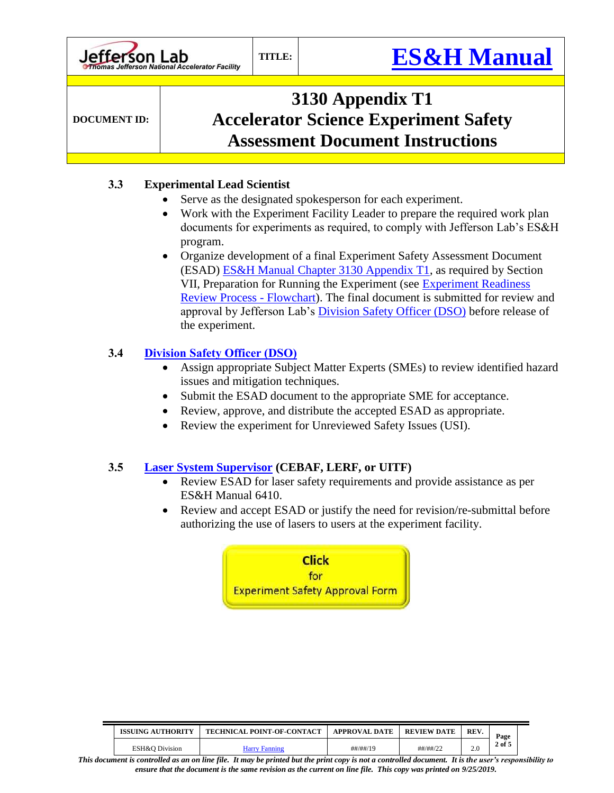**DOCUMENT ID:**

# **3130 Appendix T1 Accelerator Science Experiment Safety Assessment Document Instructions**

### **3.3 Experimental Lead Scientist**

- Serve as the designated spokesperson for each experiment.
- Work with the Experiment Facility Leader to prepare the required work plan documents for experiments as required, to comply with Jefferson Lab's ES&H program.
- Organize development of a final Experiment Safety Assessment Document (ESAD) [ES&H Manual Chapter 3130 Appendix T1,](https://www.jlab.org/ehs/ehsmanual/3130T1.htm) as required by Section VII, Preparation for Running the Experiment (see [Experiment Readiness](https://jlabdoc.jlab.org/docushare/dsweb/Get/Document-108970)  [Review Process -](https://jlabdoc.jlab.org/docushare/dsweb/Get/Document-108970) Flowchart). The final document is submitted for review and approval by Jefferson Lab's *Division Safety Officer (DSO)* before release of the experiment.

### **3.4 [Division Safety Officer \(DSO\)](https://mis.jlab.org/mis/portal/dso_list.cfm?noheader=1)**

- Assign appropriate Subject Matter Experts (SMEs) to review identified hazard issues and mitigation techniques.
- Submit the ESAD document to the appropriate SME for acceptance.
- Review, approve, and distribute the accepted ESAD as appropriate.
- Review the experiment for Unreviewed Safety Issues (USI).

### **3.5 [Laser System Supervisor](http://www.jlab.org/FEL/contact.html) (CEBAF, LERF, or UITF)**

- Review ESAD for laser safety requirements and provide assistance as per ES&H Manual 6410.
- Review and accept ESAD or justify the need for revision/re-submittal before authorizing the use of lasers to users at the experiment facility.

**Click** for **Experiment Safety Approval Form** 

| <b>ISSUING AUTHORITY</b> | <b>TECHNICAL POINT-OF-CONTACT</b> | <b>APPROVAL DATE</b> | <b>REVIEW DATE</b> | REV. | Page       |
|--------------------------|-----------------------------------|----------------------|--------------------|------|------------|
| ESH&O Division           | Harry Fanning                     | ##/##/19             | ##/##/22           | 2.0  | $2$ of $5$ |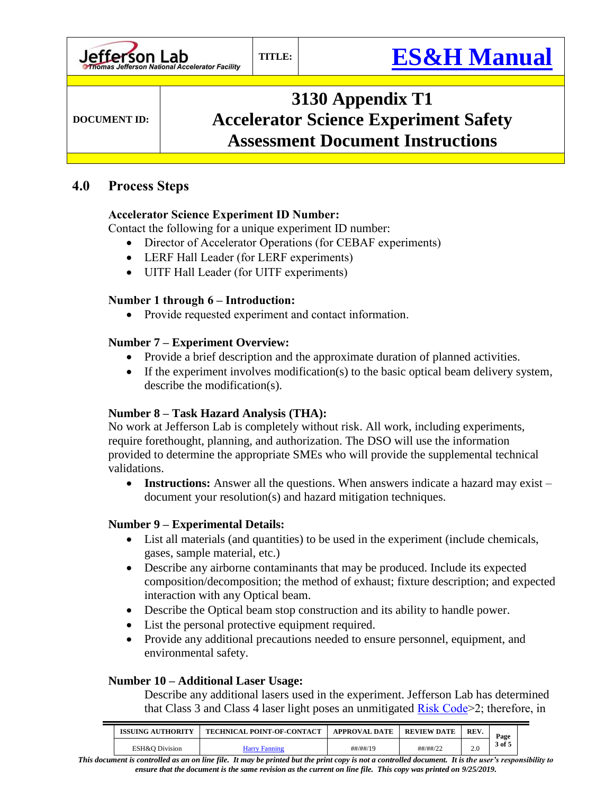**DOCUMENT ID:**

# **3130 Appendix T1 Accelerator Science Experiment Safety Assessment Document Instructions**

## **4.0 Process Steps**

## **Accelerator Science Experiment ID Number:**

Contact the following for a unique experiment ID number:

- Director of Accelerator Operations (for CEBAF experiments)
- LERF Hall Leader (for LERF experiments)
- UITF Hall Leader (for UITF experiments)

### **Number 1 through 6 – Introduction:**

• Provide requested experiment and contact information.

## **Number 7 – Experiment Overview:**

- Provide a brief description and the approximate duration of planned activities.
- If the experiment involves modification(s) to the basic optical beam delivery system, describe the modification(s).

## **Number 8 – Task Hazard Analysis (THA):**

No work at Jefferson Lab is completely without risk. All work, including experiments, require forethought, planning, and authorization. The DSO will use the information provided to determine the appropriate SMEs who will provide the supplemental technical validations.

 **Instructions:** Answer all the questions. When answers indicate a hazard may exist – document your resolution(s) and hazard mitigation techniques.

## **Number 9 – Experimental Details:**

- List all materials (and quantities) to be used in the experiment (include chemicals, gases, sample material, etc.)
- Describe any airborne contaminants that may be produced. Include its expected composition/decomposition; the method of exhaust; fixture description; and expected interaction with any Optical beam.
- Describe the Optical beam stop construction and its ability to handle power.
- List the personal protective equipment required.
- Provide any additional precautions needed to ensure personnel, equipment, and environmental safety.

### **Number 10 – Additional Laser Usage:**

Describe any additional lasers used in the experiment. Jefferson Lab has determined that Class 3 and Class 4 laser light poses an unmitigated **Risk Code**>2; therefore, in

| <b>ISSUING AUTHORITY</b> | <b>TECHNICAL POINT-OF-CONTACT</b> | <b>APPROVAL DATE</b> | <b>REVIEW DATE</b> | REV. | Page   |
|--------------------------|-----------------------------------|----------------------|--------------------|------|--------|
| ESH&O Division           | Harry Fanning                     | ##/##/19             | ##/##/22           | 2.0  | 3 of 5 |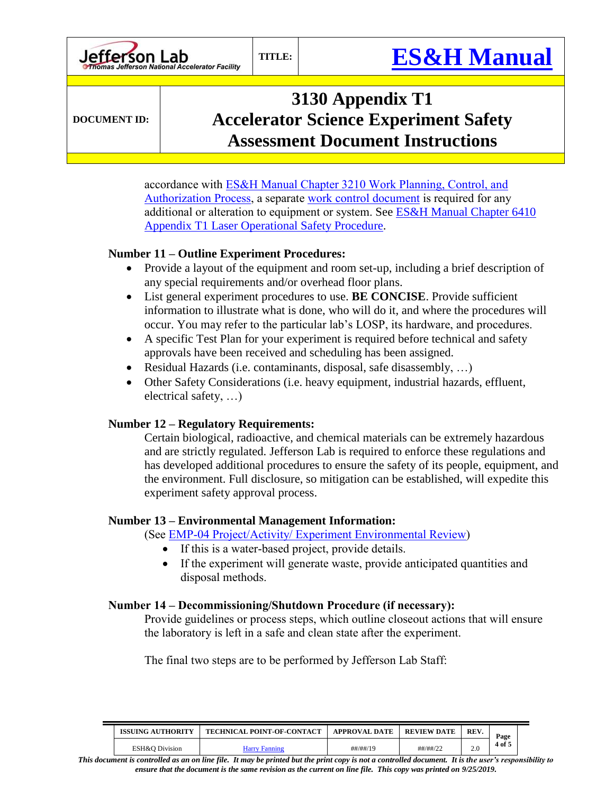**DOCUMENT ID:**

# **3130 Appendix T1 Accelerator Science Experiment Safety Assessment Document Instructions**

accordance with [ES&H Manual Chapter 3210 Work Planning, Control, and](https://www.jlab.org/ehs/ehsmanual/3210.htm)  [Authorization Process,](https://www.jlab.org/ehs/ehsmanual/3210.htm) a separate [work control document](https://www.jlab.org/ehs/ehsmanual/Glossary.htm#WCDDef) is required for any additional or alteration to equipment or system. See ES&H Manual Chapter 6410 Appendix T1 [Laser Operational Safety Procedure.](https://www.jlab.org/ehs/ehsmanual/6410T1.htm)

#### **Number 11 – Outline Experiment Procedures:**

- Provide a layout of the equipment and room set-up, including a brief description of any special requirements and/or overhead floor plans.
- List general experiment procedures to use. **BE CONCISE**. Provide sufficient information to illustrate what is done, who will do it, and where the procedures will occur. You may refer to the particular lab's LOSP, its hardware, and procedures.
- A specific Test Plan for your experiment is required before technical and safety approvals have been received and scheduling has been assigned.
- Residual Hazards (i.e. contaminants, disposal, safe disassembly, …)
- Other Safety Considerations (i.e. heavy equipment, industrial hazards, effluent, electrical safety, …)

### **Number 12 – Regulatory Requirements:**

Certain biological, radioactive, and chemical materials can be extremely hazardous and are strictly regulated. Jefferson Lab is required to enforce these regulations and has developed additional procedures to ensure the safety of its people, equipment, and the environment. Full disclosure, so mitigation can be established, will expedite this experiment safety approval process.

#### **Number 13 – Environmental Management Information:**

(See [EMP-04 Project/Activity/ Experiment Environmental Review\)](https://jlabdoc.jlab.org/docushare/dsweb/View/Collection-1349)

- If this is a water-based project, provide details.
- If the experiment will generate waste, provide anticipated quantities and disposal methods.

#### **Number 14 – Decommissioning/Shutdown Procedure (if necessary):**

Provide guidelines or process steps, which outline closeout actions that will ensure the laboratory is left in a safe and clean state after the experiment.

The final two steps are to be performed by Jefferson Lab Staff:

| ISSUING AUTHORITY | <b>TECHNICAL POINT-OF-CONTACT</b> | <b>APPROVAL DATE</b>   | <b>REVIEW DATE</b> | REV. | Page |
|-------------------|-----------------------------------|------------------------|--------------------|------|------|
| ESH&O Division    | Harry Fanning                     | $\#$ # $\#$ / $\#$ /19 | ##/##/22           |      | of 5 |